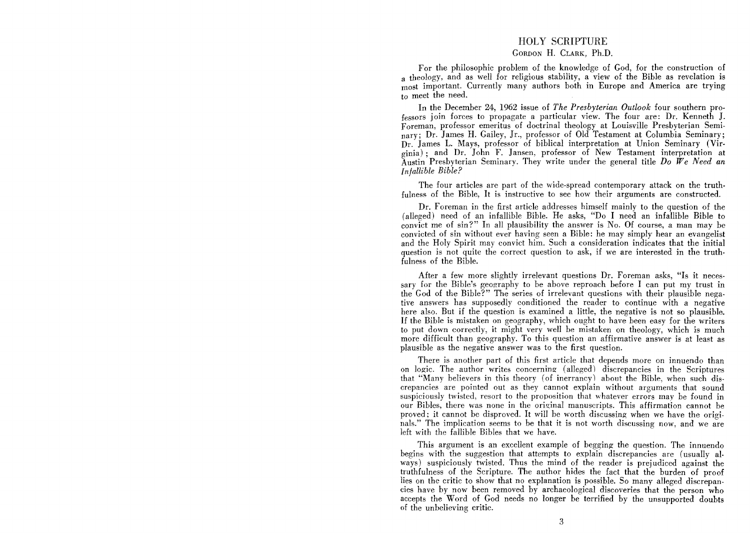## HOLY SCRIPTURE

## GORDON H. CLARK, Ph.D.

For the philosophic problem of the knowledge of God, for the construction of a theology, and as well for religious stability, a view of the Bible as revelation is most important. Currently many authors both in Europe and America are trying to meet the need.

In the December 24, 1962 issue of *The Presbyterian Outlook* four southern professors join forces to propagate a particular view. The four are: Dr. Kenneth J. Foreman, professor emeritus of doctrinal theology at Louisville Presbyterian Seminary; Dr. James H. Gailey, Jr., professor of Old Testament at Columbia Seminary; Dr. James L. Mays, professor of biblical interpretation at Union Seminary (Virginia); and Dr. John F. Jansen, professor of New Testament interpretation at Austin Presbyterian Seminary. They write under the general title *Do We Need an Infallible Bible?* 

The four articles are part of the wide-spread contemporary attack on the truthfulness of the Bible, It is instructive to see how their arguments are constructed.

Dr. Foreman in the first article addresses himself mainly to the question of the (alleged) need of an infallible Bible. He asks, "Do I need an infallible Bible to convict me of sin?" In all plausibility the answer is No. Of course, a man may be convicted of sin without ever having seen a Bible: he may simply hear an evangelist and the Holy Spirit may convict him. Such a consideration indicates that the initial question is not quite the correct question to ask, if we are interested in the truthfulness of the Bible.

After a few more slightly irrelevant questions Dr. Foreman asks, "Is it necessary for the Bible's geography to be above reproach before I can put my trust in the God of the Bible?" The series of irrelevant questions with their plausible negative answers has supposedly conditioned the reader to continue with a negative here also. But if the question is examined a little, the negative is not so plausible. If the Bible is mistaken on geography, which ought to have been easy for the writers to put down correctly, it might very well be mistaken on theology, which is much more difficult than geography. To this question an affirmative answer is at least as plausible as the negative answer was to the first question.

There is another part of this first article that depends more on innuendo than on logic. The author writes concerning (alleged) discrepancies in the Scriptures that "Many believers in this theory (of inerrancy) about the Bible, when such discrepancies are pointed out as they cannot explain without arguments that sound suspiciously twisted, resort to the proposition that whatever errors may be found in our Bibles, there was none in the original manuscripts. This affirmation cannot be proved; it cannot be disproved. It will be worth discussing when we have the originals." The implication seems to be that it is not worth discussing now, and we are left with the fallible Bibles that we have.

This argument is an excellent example of begging the question. The innuendo begins with the suggestion that attempts to explain discrepancies are (usually always) suspiciously twisted. Thus the mind of the reader is prejudiced against the truthfulness of the Scripture. The author hides the fact that the burden of proof lies on the critic to show that no explanation is possible. So many alleged discrepancies have by now been removed by archaeological discoveries that the person who accepts the Word of God needs no longer be terrified by the unsupported doubts of the unbelieving critic.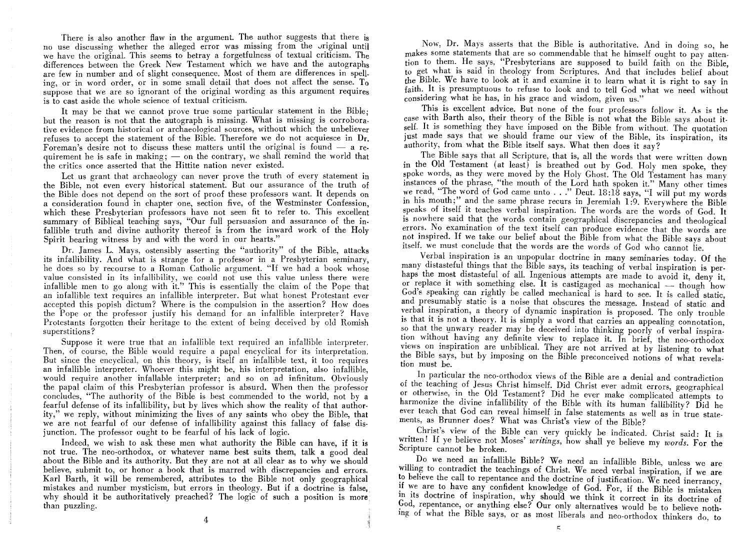There is also another flaw in the argument. The author suggests that there is no use discussing whether the alleged error was missing from the Jriginal until we have the original. This seems to betray a forgetfulness of textual criticism. The differences between the Greek New Testament which we have and the autographs are few in number and of slight consequence. Most of them are differences in spelling, or in word order, or in some small detail that does not affect the sense. To suppose that we are so ignorant of the original wording as this argument requires is to cast aside the whole science of textual criticism.

It may be that we cannot prove true some particular statement in the Bible; but the reason is not that the autograph is missing. What is missing is corroborative evidence from historical or archaeological sources, without which the unbeliever refuses to accept the statement of the Bible. Therefore we do not acquiesce in Dr. Foreman's desire not to discuss these matters until the original is found  $-$  a requirement he is safe in making;  $\sim$  on the contrary, we shall remind the world that the critics once asserted that the Hittite nation never existed.

Let us grant that archaeology can never prove the truth of every statement in the Bible, not even every historical statement. But our assurance of the truth of the Bible does not depend on the sort of proof these professors want. It depends on a consideration found in chapter one, section five, of the Westminster Confession, which these Presbyterian professors have not seen fit to refer to. This excellent summary of Biblical teaching says, "Our full persuasion and assurance of the infallible truth and divine authority thereof is from the inward work of the Holy Spirit bearing witness by and with the word in our hearts."

Dr. James L. Mays, ostensibly asserting the "authority" of the Bible, attacks its infallibility. And what is strange for a professor in a Presbyterian seminary, he does so by recourse to a Roman Catholic argument. "If we had a book whose value consisted in its infallibility, we could not use this value unless there were infallible men to go along with it." This is essentially the claim of the Pope that an infallible text requires an infallible interpreter. But what honest Protestant ever accepted this popish dictum? Where is the compulsion in the assertion? How does the Pope or the professor justify his demand for an infallible interpreter? Have Protestants forgotten their heritage to the extent of being deceived by old Romish superstitions?

Suppose it were true that an infallible text required an infallible interpreter. Then, of course, the Bible would require a papal encyclical for its interpretation. But since the encyclical, on this theory, is itself an infallible text, it too requires an infallible interpreter. Whoever this might be, his interpretation, also infallible, would require another infallable interpreter; and so on ad infinitum. Obviously the papal claim of this Presbyterian professor is absurd. When then the professor concludes, "The authority of the Bible is best commended to the world, not by a fearful defense of its infallibility, but by lives which show the reality of that authority," we reply, without minimizing the lives of any saints who obey the Bible, that we are not fearful of our defense of infallibility against this fallacy of false disjunction. The professor ought to be fearful of his lack of logic.

Indeed, we wish to ask these men what authority the Bible can have, if it is not true. The neo-orthodox, or whatever name best suits them, talk a good deal about the Bible and its authority. But they are not at all clear as to why we should believe, submit to, or honor a book that is marred with discrepancies and errors. Karl Barth, it will be remembered, attributes to the Bible not only geographical mistakes and number mysticism, but errors in theology. But if a doctrine is false, why should it be authoritatively preached? The logic of such a position is more than puzzling.

Now, Dr. Mays asserts that the Bible is authoritative. And in doing so, he makes some statements that are so commendable that he himself ought to pay attention to them. He says, "Presbyterians are supposed to build faith on the Bible, to get what is said in theology from Scriptures. And that includes belief about the Bible. We have to look at it and examine it to learn what it is right to say in faith. It is presumptuous to refuse to look and to tell God what we need without considering what he has, in his grace and wisdom, given us."

This is excellent advice. But none of the four professors follow it. As is the case with Barth also, their theory of the Bible is not what the Bible says about itself. It is something they have imposed on the Bible from without. The quotation just made says that we should frame our view of the Bible, its inspiration, its authority, from what the Bible itself says. What then does it say?

The Bible says that all Scripture, that is, all the words that were written down in the Old Testament (at least) is breathed out by God. Holy men spoke, they spoke words, as they were moved by the Holy Ghost. The Old Testament has many instances of the phrase, "the mouth of the Lord hath spoken it." Many other times we read, "The word of God came unto  $\ldots$ ." Deut. 18:18 says, "I will put my words in his mouth;" and the same phrase recurs in Jeremiah 1:9. Everywhere the Bible speaks of itself it teaches verbal inspiration. The words are the words of God. It is nowhere said that the words contain geographical discrepancies and theological errors. No examination of the text itself can produce evidence that the words are not inspired. If we take our belief about the Bible from what the Bible says about itself. we must conclude that the words are the words of God who cannot lie.

Verbal inspiration is an unpopular doctrine in many seminaries today. Of the many distasteful things that the Bible says, its teaching of verbal inspiration is perhaps the most distasteful of all. Ingenious attempts are made to avoid it, deny it, or replace it with something else. It is castigaged as mechanical  $-$  though how  $God's$  speaking can rightly be called mechanical is hard to see. It is called static, and presumably static is a noise that obscures the message. Instead of static and verbal inspiration, a theory of dynamic inspiration is proposed. The only trouble is that it is not a theory. It is simply a word that carries an appealing connotation. so that the unwary reader may be deceived into thinking poorly of verbal inspiration without having any definite view to replace it. In brief, the neo-orthodox views on inspiration are unbiblical. They are not arrived at by listening to what the Bible says, but by imposing on the Bible preconceived notions of what revelation must be.

In particular the neo-orthodox views of the Bible are a denial and contradiction of the teaching of Jesus Christ himself. Did Christ ever admit errors, geographical or otherwise, in the Old Testament? Did he ever make complicated attempts to harmonize the divine infallibility of the Bible with its human fallibility? Did he ever teach that God can reveal himself in false statements as well as in true statements, as Brunner does? What was Christ's view of the Bible?

Christ's view of the Bible can very quickly be indicated. Christ said: It is written! If ye believe not Moses' *writings*, how shall ye believe my *words*. For the Scripture cannot be broken.

Do we need an infallible Bible? We need an infallible Bible, unless we are willing to contradict the teachings of Christ. We need verbal inspiration, if we are to believe the call to repentance and the doctrine of justification. We need inerrancy, if we are to have any confident knowledge of God. For, if the Bible is mistaken in its doctrine of inspiration, why should we think it correct in its doctrine of God, repentance, or anything else? Our only alternatives would be to believe nothing of what the Bible says, or as most liberals and neo-orthodox thinkers do, to

c:

4